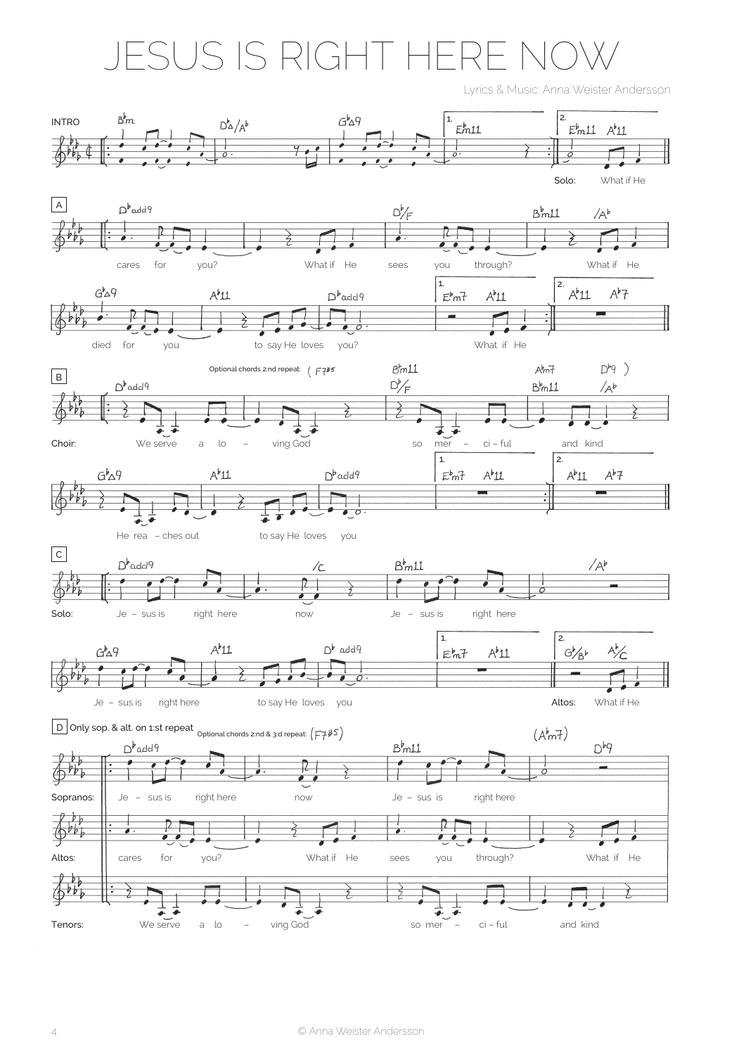## ESUS IS RIGHT HERE NC

Lyrics & Music: Anna Weister Andersson